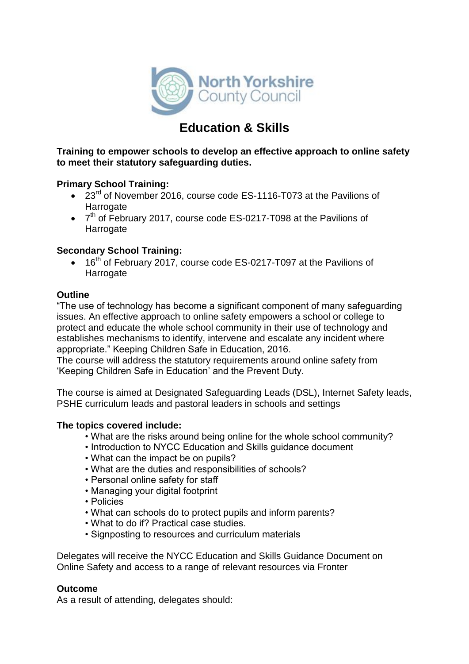

# **Education & Skills**

**Training to empower schools to develop an effective approach to online safety to meet their statutory safeguarding duties.**

# **Primary School Training:**

- 23<sup>rd</sup> of November 2016, course code ES-1116-T073 at the Pavilions of **Harrogate**
- 7<sup>th</sup> of February 2017, course code ES-0217-T098 at the Pavilions of Harrogate

# **Secondary School Training:**

• 16<sup>th</sup> of February 2017, course code ES-0217-T097 at the Pavilions of **Harrogate** 

### **Outline**

"The use of technology has become a significant component of many safeguarding issues. An effective approach to online safety empowers a school or college to protect and educate the whole school community in their use of technology and establishes mechanisms to identify, intervene and escalate any incident where appropriate." Keeping Children Safe in Education, 2016.

The course will address the statutory requirements around online safety from 'Keeping Children Safe in Education' and the Prevent Duty.

The course is aimed at Designated Safeguarding Leads (DSL), Internet Safety leads, PSHE curriculum leads and pastoral leaders in schools and settings

### **The topics covered include:**

- What are the risks around being online for the whole school community?
- Introduction to NYCC Education and Skills guidance document
- What can the impact be on pupils?
- What are the duties and responsibilities of schools?
- Personal online safety for staff
- Managing your digital footprint
- Policies
- What can schools do to protect pupils and inform parents?
- What to do if? Practical case studies.
- Signposting to resources and curriculum materials

Delegates will receive the NYCC Education and Skills Guidance Document on Online Safety and access to a range of relevant resources via Fronter

### **Outcome**

As a result of attending, delegates should: